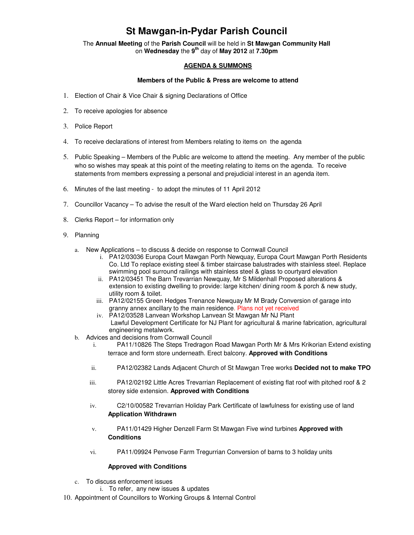## **St Mawgan-in-Pydar Parish Council**

The **Annual Meeting** of the **Parish Council** will be held in **St Mawgan Community Hall** on **Wednesday** the **9th** day of **May 2012** at **7.30pm** 

## **AGENDA & SUMMONS**

## **Members of the Public & Press are welcome to attend**

- 1. Election of Chair & Vice Chair & signing Declarations of Office
- 2. To receive apologies for absence
- 3. Police Report
- 4. To receive declarations of interest from Members relating to items on the agenda
- 5. Public Speaking Members of the Public are welcome to attend the meeting. Any member of the public who so wishes may speak at this point of the meeting relating to items on the agenda. To receive statements from members expressing a personal and prejudicial interest in an agenda item.
- 6. Minutes of the last meeting to adopt the minutes of 11 April 2012
- 7. Councillor Vacancy To advise the result of the Ward election held on Thursday 26 April
- 8. Clerks Report for information only
- 9. Planning
	- a. New Applications to discuss & decide on response to Cornwall Council
		- i. PA12/03036 Europa Court Mawgan Porth Newquay, Europa Court Mawgan Porth Residents Co. Ltd To replace existing steel & timber staircase balustrades with stainless steel. Replace swimming pool surround railings with stainless steel & glass to courtyard elevation
		- ii. PA12/03451 The Barn Trevarrian Newquay, Mr S Mildenhall Proposed alterations & extension to existing dwelling to provide: large kitchen/ dining room & porch & new study, utility room & toilet.
		- iii. PA12/02155 Green Hedges Trenance Newquay Mr M Brady Conversion of garage into granny annex ancillary to the main residence. Plans not yet received
		- iv. PA12/03528 Lanvean Workshop Lanvean St Mawgan Mr NJ Plant Lawful Development Certificate for NJ Plant for agricultural & marine fabrication, agricultural engineering metalwork.
	- b. Advices and decisions from Cornwall Council
		- i. PA11/10826 The Steps Tredragon Road Mawgan Porth Mr & Mrs Krikorian Extend existing terrace and form store underneath. Erect balcony. **Approved with Conditions**
		- ii. PA12/02382 Lands Adjacent Church of St Mawgan Tree works **Decided not to make TPO**
		- iii. PA12/02192 Little Acres Trevarrian Replacement of existing flat roof with pitched roof & 2 storey side extension. **Approved with Conditions**
		- iv. C2/10/00582 Trevarrian Holiday Park Certificate of lawfulness for existing use of land **Application Withdrawn**
		- v. PA11/01429 Higher Denzell Farm St Mawgan Five wind turbines **Approved with Conditions**
		- vi. PA11/09924 Penvose Farm Tregurrian Conversion of barns to 3 holiday units

## **Approved with Conditions**

- c. To discuss enforcement issues
	- i. To refer, any new issues & updates
- 10. Appointment of Councillors to Working Groups & Internal Control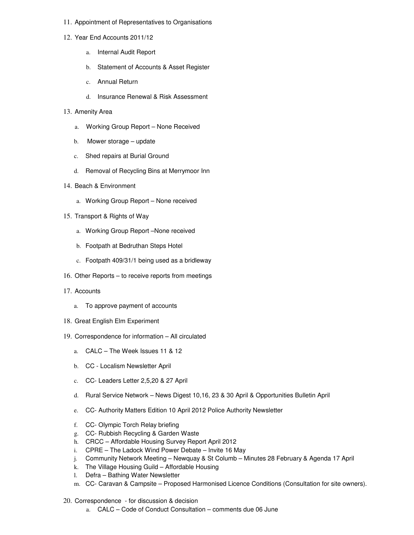- 11. Appointment of Representatives to Organisations
- 12. Year End Accounts 2011/12
	- a. Internal Audit Report
	- b. Statement of Accounts & Asset Register
	- c. Annual Return
	- d. Insurance Renewal & Risk Assessment
- 13. Amenity Area
	- a. Working Group Report None Received
	- b. Mower storage update
	- c. Shed repairs at Burial Ground
	- d. Removal of Recycling Bins at Merrymoor Inn
- 14. Beach & Environment
	- a. Working Group Report None received
- 15. Transport & Rights of Way
	- a. Working Group Report –None received
	- b. Footpath at Bedruthan Steps Hotel
	- c. Footpath 409/31/1 being used as a bridleway
- 16. Other Reports to receive reports from meetings
- 17. Accounts
	- a. To approve payment of accounts
- 18. Great English Elm Experiment
- 19. Correspondence for information All circulated
	- a. CALC The Week Issues 11 & 12
	- b. CC Localism Newsletter April
	- c. CC- Leaders Letter 2,5,20 & 27 April
	- d. Rural Service Network News Digest 10,16, 23 & 30 April & Opportunities Bulletin April
	- e. CC- Authority Matters Edition 10 April 2012 Police Authority Newsletter
	- f. CC- Olympic Torch Relay briefing
	- g. CC- Rubbish Recycling & Garden Waste
	- h. CRCC Affordable Housing Survey Report April 2012
	- i. CPRE The Ladock Wind Power Debate Invite 16 May
	- j. Community Network Meeting Newquay & St Columb Minutes 28 February & Agenda 17 April
	- k. The Village Housing Guild Affordable Housing
	- l. Defra Bathing Water Newsletter
	- m. CC- Caravan & Campsite Proposed Harmonised Licence Conditions (Consultation for site owners).
- 20. Correspondence for discussion & decision
	- a. CALC Code of Conduct Consultation comments due 06 June